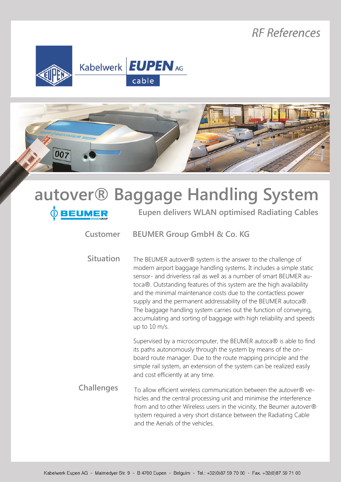## **RF References**





| EUMER             | autover® Baggage Handling System<br><b>Eupen delivers WLAN optimised Radiating Cables</b>                                                                                                                                                                                                                                                                                                                                                                                                                                                                                              |
|-------------------|----------------------------------------------------------------------------------------------------------------------------------------------------------------------------------------------------------------------------------------------------------------------------------------------------------------------------------------------------------------------------------------------------------------------------------------------------------------------------------------------------------------------------------------------------------------------------------------|
| Customer          | <b>BEUMER Group GmbH &amp; Co. KG</b>                                                                                                                                                                                                                                                                                                                                                                                                                                                                                                                                                  |
| <b>Situation</b>  | The BEUMER autover® system is the answer to the challenge of<br>modern airport baggage handling systems. It includes a simple static<br>sensor- and driverless rail as well as a number of smart BEUMER au-<br>toca®. Outstanding features of this system are the high availability<br>and the minimal maintenance costs due to the contactless power<br>supply and the permanent addressability of the BEUMER autoca®.<br>The baggage handling system carries out the function of conveying,<br>accumulating and sorting of baggage with high reliability and speeds<br>up to 10 m/s. |
|                   | Supervised by a microcomputer, the BEUMER autoca® is able to find<br>its paths autonomously through the system by means of the on-<br>board route manager. Due to the route mapping principle and the<br>simple rail system, an extension of the system can be realized easily<br>and cost efficiently at any time.                                                                                                                                                                                                                                                                    |
| <b>Challenges</b> | To allow efficient wireless communication between the autover® ve-<br>hicles and the central processing unit and minimise the interference<br>from and to other Wireless users in the vicinity, the Beumer autover®<br>system required a very short distance between the Radiating Cable<br>and the Aerials of the vehicles.                                                                                                                                                                                                                                                           |